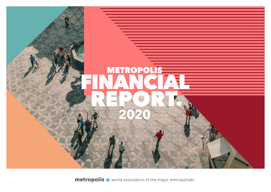

**metropolis**  $\bullet$  world association of the major metropolises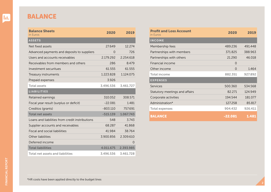## BALANCE

| <b>Balance Sheets</b><br>in Euros               | 2020       | 2019      |
|-------------------------------------------------|------------|-----------|
| <b>ASSETS</b>                                   |            |           |
| Net fixed assets                                | 27.649     | 12.274    |
| Advanced payments and deposits to suppliers     | 0          | 726       |
| Users and accounts receivables                  | 2.179.292  | 2.254.618 |
| Receivables from members and others             | 286        | 8.479     |
| Investment securitues                           | 61.555     | 61.555    |
| Treasury instruments                            | 1.223.828  | 1.124.075 |
| Prepaid expenses                                | 3.926      |           |
| <b>Total assets</b>                             | 3.496.536  | 3.461.727 |
| <b>LIABILITIES</b>                              |            |           |
| Retained earnings                               | 310.052    | 308.571   |
| Fiscal year result (surplus or deficit)         | $-22.081$  | 1.481     |
| Creditos (grants)                               | $-803.110$ | 757.691   |
| <b>Total net assets</b>                         | $-515.139$ | 1.067.743 |
| Loans and liabilities from credit instributions | 548        | 3.743     |
| Supplier accounts and receivables               | 68.287     | 41.868    |
| <b>Fiscal and social liabiliities</b>           | 41.984     | 38.764    |
| Other liabilities                               | 3.900.856  | 2.309.610 |
| Deferred income                                 |            | $\Omega$  |
| <b>Total liabiilities</b>                       | 4.011.675  | 2.393.985 |
| <b>Total net assets and liabilities</b>         | 3.496.536  | 3.461.728 |

| <b>Profit and Loss Account</b><br>in Euros | 2020      | 2019    |
|--------------------------------------------|-----------|---------|
| <b>INCOME</b>                              |           |         |
| Membership fees                            | 489.236   | 491448  |
| Partnerships with members                  | 371.825   | 388.963 |
| Partnerships with others                   | 21.290    | 46.018  |
| Financial income                           | 0         |         |
| Other income                               | $\Omega$  | 1.464   |
| Total income                               | 882.351   | 927.892 |
| <b>EXPENSES</b>                            |           |         |
| Services                                   | 500.360   | 534.568 |
| Statutory meetings and affairs             | 82.271    | 124.949 |
| Corporate activities                       | 194.544   | 181.077 |
| Administration*                            | 127.258   | 85.817  |
| <b>Total expenses</b>                      | 904.432   | 926.411 |
| <b>BALANCE</b>                             | $-22.081$ | 1.481   |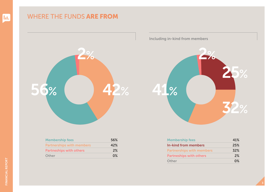## WHERE THE FUNDS ARE FROM



Membership fees 56% Partnerships with members **42%** Partneships with others 2% Other 0% and 0% and 0% and 0% and 0% and 0% and 0% and 0% and 0% and 0% and 0% and 0% and 0% and 0% and 0% and 0% and 0.00  $\mu$  Including in-kind from members



| <b>Membership fees</b>           | 41%   |
|----------------------------------|-------|
| <b>In-kind from members</b>      | 25%   |
| <b>Partnerships with members</b> | 32%   |
| <b>Partneships with others</b>   | 2%    |
| Other                            | $0\%$ |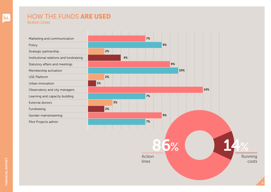## HOW THE FUNDS ARE USED Action Lines